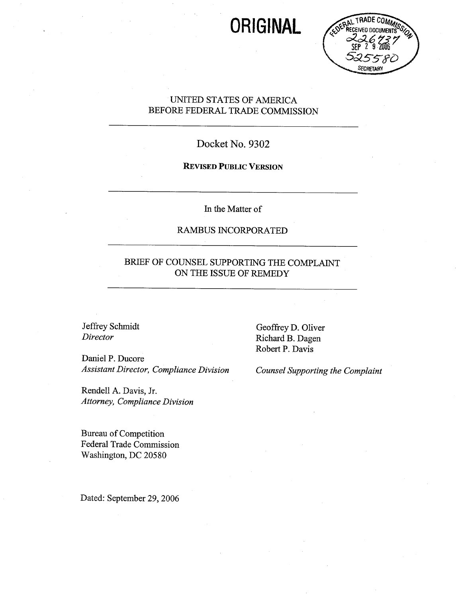# ORIGINAL



# UNTED STATES OF AMERICA BEFORE FEDERAL TRADE COMMISSION

# Docket No. 9302

## REVISED PUBLIC VERSION

In the Matter of

# RAMBUS INCORPORATED

# BRIEF OF COUNSEL SUPPORTING THE COMPLAINT ON THE ISSUE OF REMEDY

Jeffrey Schmidt Director

Daniel P. Ducore Assistant Director, Compliance Division Counsel Supporting the Complaint

Rendell A. Davis, Jr. Attorney, Compliance Division

Bureau of Competition Federal Trade Commission Washington, DC 20580

Dated: September 29, 2006

Geoffrey D. Oliver Richard B. Dagen Robert P. Davis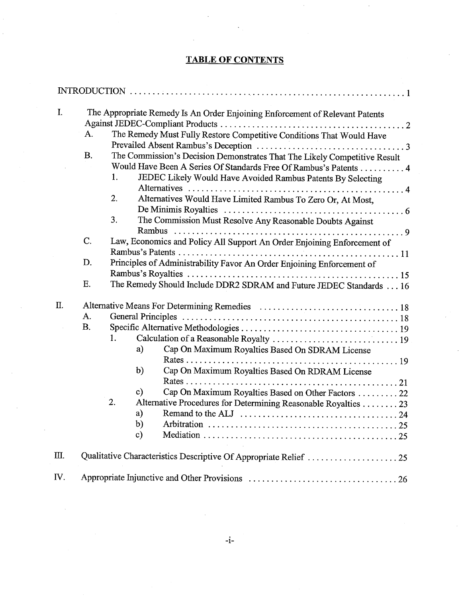# TABLE OF CONTENTS

| $\mathbf{I}$ . | The Appropriate Remedy Is An Order Enjoining Enforcement of Relevant Patents<br>The Remedy Must Fully Restore Competitive Conditions That Would Have<br>A.<br>B.<br>The Commission's Decision Demonstrates That The Likely Competitive Result<br>Would Have Been A Series Of Standards Free Of Rambus's Patents 4<br>1.<br>JEDEC Likely Would Have Avoided Rambus Patents By Selecting<br>2.<br>Alternatives Would Have Limited Rambus To Zero Or, At Most, |
|----------------|-------------------------------------------------------------------------------------------------------------------------------------------------------------------------------------------------------------------------------------------------------------------------------------------------------------------------------------------------------------------------------------------------------------------------------------------------------------|
|                | 3.<br>The Commission Must Resolve Any Reasonable Doubts Against                                                                                                                                                                                                                                                                                                                                                                                             |
|                | C.<br>Law, Economics and Policy All Support An Order Enjoining Enforcement of                                                                                                                                                                                                                                                                                                                                                                               |
|                | Principles of Administrability Favor An Order Enjoining Enforcement of<br>D.                                                                                                                                                                                                                                                                                                                                                                                |
|                |                                                                                                                                                                                                                                                                                                                                                                                                                                                             |
|                | Ε.<br>The Remedy Should Include DDR2 SDRAM and Future JEDEC Standards 16                                                                                                                                                                                                                                                                                                                                                                                    |
| Π.             | A.<br><b>B.</b>                                                                                                                                                                                                                                                                                                                                                                                                                                             |
|                | 1.<br>Cap On Maximum Royalties Based On SDRAM License<br>a)                                                                                                                                                                                                                                                                                                                                                                                                 |
|                | b)<br>Cap On Maximum Royalties Based On RDRAM License                                                                                                                                                                                                                                                                                                                                                                                                       |
|                | Cap On Maximum Royalties Based on Other Factors  22<br>$\mathbf{c})$                                                                                                                                                                                                                                                                                                                                                                                        |
|                | 2.<br>Alternative Procedures for Determining Reasonable Royalties 23<br>a)<br>b)<br>$\mathbf{c}$                                                                                                                                                                                                                                                                                                                                                            |
| $\mathbf{m}$ . | Qualitative Characteristics Descriptive Of Appropriate Relief  25                                                                                                                                                                                                                                                                                                                                                                                           |
| IV.            |                                                                                                                                                                                                                                                                                                                                                                                                                                                             |
|                |                                                                                                                                                                                                                                                                                                                                                                                                                                                             |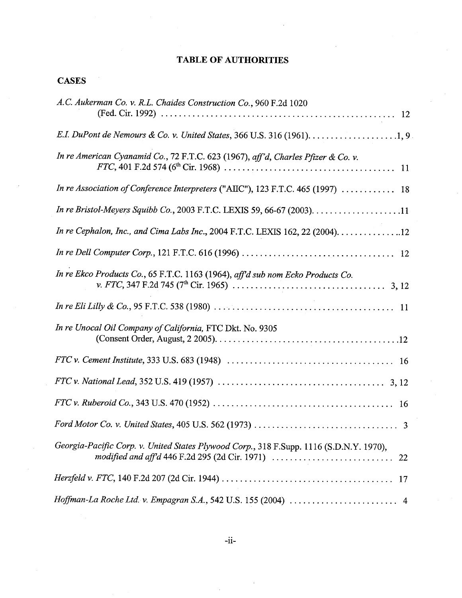# TABLE OF AUTHORITIES

# **CASES**

| A.C. Aukerman Co. v. R.L. Chaides Construction Co., 960 F.2d 1020                                         |
|-----------------------------------------------------------------------------------------------------------|
|                                                                                                           |
| In re American Cyanamid Co., 72 F.T.C. 623 (1967), aff'd, Charles Pfizer & Co. v.                         |
| In re Association of Conference Interpreters ("AIIC"), 123 F.T.C. 465 (1997)  18                          |
| In re Bristol-Meyers Squibb Co., 2003 F.T.C. LEXIS 59, 66-67 (2003). $\dots$ . 11                         |
| In re Cephalon, Inc., and Cima Labs Inc., 2004 F.T.C. LEXIS 162, 22 (2004). $\ldots \ldots \ldots \ldots$ |
|                                                                                                           |
| In re Ekco Products Co., 65 F.T.C. 1163 (1964), aff'd sub nom Ecko Products Co.                           |
|                                                                                                           |
| In re Unocal Oil Company of California, FTC Dkt. No. 9305                                                 |
|                                                                                                           |
|                                                                                                           |
|                                                                                                           |
|                                                                                                           |
| Georgia-Pacific Corp. v. United States Plywood Corp., 318 F.Supp. 1116 (S.D.N.Y. 1970),                   |
|                                                                                                           |
|                                                                                                           |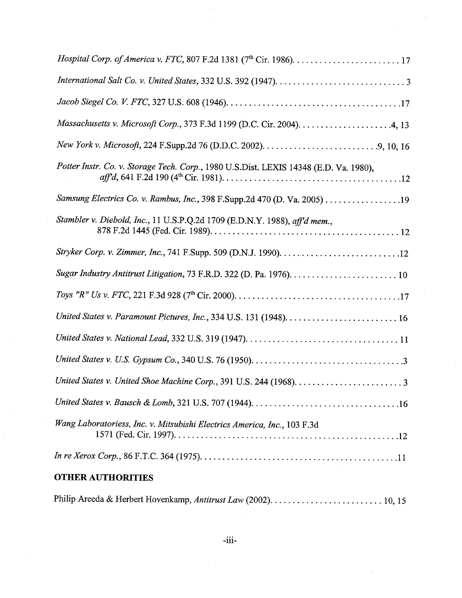| Potter Instr. Co. v. Storage Tech. Corp., 1980 U.S.Dist. LEXIS 14348 (E.D. Va. 1980),                                   |
|-------------------------------------------------------------------------------------------------------------------------|
| Samsung Electrics Co. v. Rambus, Inc., 398 F.Supp.2d 470 (D. Va. 2005) 19                                               |
| Stambler v. Diebold, Inc., 11 U.S.P.Q.2d 1709 (E.D.N.Y. 1988), aff'd mem.,                                              |
| Stryker Corp. v. Zimmer, Inc., 741 F.Supp. 509 (D.N.J. 1990). $\ldots \ldots \ldots \ldots \ldots \ldots \ldots \ldots$ |
|                                                                                                                         |
|                                                                                                                         |
|                                                                                                                         |
|                                                                                                                         |
|                                                                                                                         |
|                                                                                                                         |
|                                                                                                                         |
| Wang Laboratoriess, Inc. v. Mitsubishi Electrics America, Inc., 103 F.3d                                                |
|                                                                                                                         |
| <b>OTHER AUTHORITIES</b>                                                                                                |
|                                                                                                                         |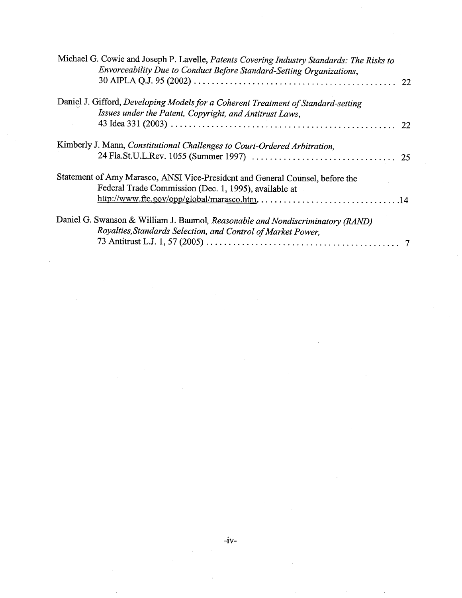| Michael G. Cowie and Joseph P. Lavelle, Patents Covering Industry Standards: The Risks to<br>Envorceability Due to Conduct Before Standard-Setting Organizations, |  |
|-------------------------------------------------------------------------------------------------------------------------------------------------------------------|--|
| Daniel J. Gifford, Developing Models for a Coherent Treatment of Standard-setting<br>Issues under the Patent, Copyright, and Antitrust Laws,                      |  |
|                                                                                                                                                                   |  |
| Kimberly J. Mann, Constitutional Challenges to Court-Ordered Arbitration,                                                                                         |  |
| Statement of Amy Marasco, ANSI Vice-President and General Counsel, before the<br>Federal Trade Commission (Dec. 1, 1995), available at                            |  |
| Daniel G. Swanson & William J. Baumol, Reasonable and Nondiscriminatory (RAND)<br>Royalties, Standards Selection, and Control of Market Power,                    |  |

 $\label{eq:2} \frac{1}{\sqrt{2}}\int_{0}^{\infty}\frac{1}{\sqrt{2}}\,d\mu_{\rm{eff}}\,d\mu_{\rm{eff}}\,.$ 

 $\sim$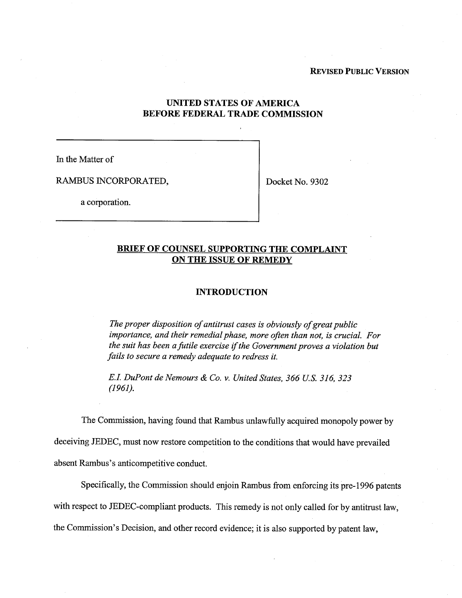## REVISED PUBLIC VERSION

## UNITED STATES OF AMERICA BEFORE FEDERAL TRADE COMMISSION

In the Matter of

RAMBUS INCORPORATED,  $\vert$  Docket No. 9302

a corporation.

## BRIEF OF COUNSEL SUPPORTING THE COMPLAINT ON THE ISSUE OF REMEDY

## INTRODUCTION

The proper disposition of antitrust cases is obviously of great public importance, and their remedial phase, more often than not, is crucial. For the suit has been a futile exercise if the Government proves a violation but fails to secure a remedy adequate to redress it.

E.I. DuPont de Nemours & Co. v. United States, 366 U.S. 316, 323 (1961).

The Commission, having found that Rambus unlawfully acquired monopoly power by

deceiving JEDEC, must now restore competition to the conditions that would have prevailed absent Rambus's anticompetitive conduct.

Specifically, the Commission should enjoin Rambus from enforcing its pre- 1996 patents with respect to JEDEC-compliant products. This remedy is not only called for by antitrust law, the Commission's Decision, and other record evidence; it is also supported by patent law,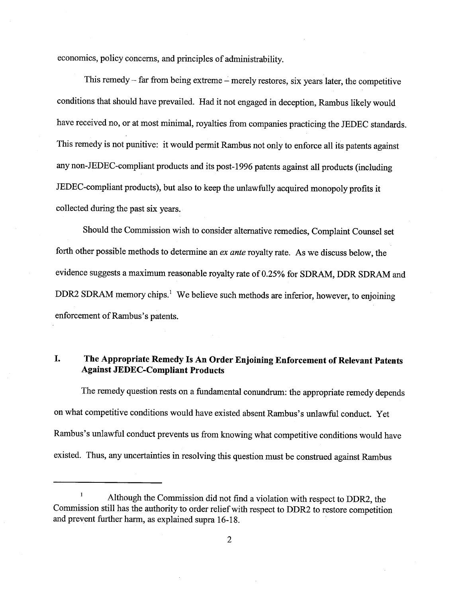economics, policy concerns, and principles of administrability.

This remedy  $-$  far from being extreme  $-$  merely restores, six years later, the competitive conditions that should have prevailed. Had it not engaged in deception, Rambus likely would have received no, or at most minimal, royalties from companies practicing the JEDEC standards. This remedy is not punitive: it would permit Rambus not only to enforce all its patents against any non-JEDEC-compliant products and its post- 1996 patents against all products (including JEDEC-compliant products), but also to keep the unlawfully acquired monopoly profits it collected during the past six years.

Should the Commission wish to consider alternative remedies, Complaint Counsel set forth other possible methods to determine an ex ante royalty rate. As we discuss below, the evidence suggests a maximum reasonable royalty rate of 0.25% for SDRAM, DDR SDRAM and DDR2 SDRAM memory chips.<sup>1</sup> We believe such methods are inferior, however, to enjoining enforcement of Rambus's patents.

## I. The Appropriate Remedy Is An Order Enjoining Enforcement of Relevant Patents Against JEDEC-Compliant Products

The remedy question rests on a fundamental conundrum: the appropriate remedy depends on what competitive conditions would have existed absent Rambus's unlawful conduct. Yet Rambus's unlawful conduct prevents us from knowing what competitive conditions would have existed. Thus, any uncertainties in resolving this question must be construed against Rambus

Although the Commission did not find a violation with respect to DDR2, the Commission still has the authority to order relief with respect to DDR2 to restore competition and prevent further harm, as explained supra 16-18.<br>Although the Commission did not find a violation with a Commission still has the authority to order relief with respect to DDR2 and prevent further harm, as explained sup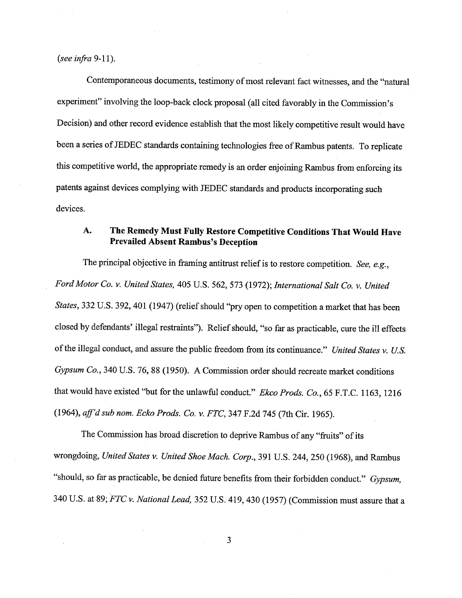## (see infra  $9-11$ ).

Contemporaneous documents, testimony of most relevant fact witnesses, and the "natural experiment" involving the loop-back clock proposal (all cited favorably in the Commission's Decision) and other record evidence establish that the most likely competitive result would have been a series of JEDEC standards containing technologies free of Rambus patents. To replicate this competitive world, the appropriate remedy is an order enjoining Rambus from enforcing its patents against devices complying with JEDEC standards and products incorporating such devices.

## The Remedy Must Fully Restore Competitive Conditions That Would Have A. Prevailed Absent Rambus's Deception

The principal objective in framing antitrust relief is to restore competition. See, e.g., Ford Motor Co. v. United States, 405 U.S. 562, 573 (1972); International Salt Co. v. United States, 332 U.S. 392, 401 (1947) (relief should "pry open to competition a market that has been closed by defendants' illegal restraints"). Relief should, "so far as practicable, cure the ill effects of the illegal conduct, and assure the public freedom from its continuance." United States v. U.S. Gypsum Co., 340 U.S. 76, 88 (1950). A Commission order should recreate market conditions that would have existed "but for the unlawful conduct." Ekco Prods. Co., 65 F.T.C. 1163, 1216 (1964), aff'd sub nom. Ecko Prods. Co. v. FTC, 347 F.2d 745 (7th Cir. 1965).

The Commission has broad discretion to deprive Rambus of any "fruits" of its wrongdoing, United States v. United Shoe Mach. Corp., 391 U.S. 244, 250 (1968), and Rambus "should, so far as practicable, be denied future benefits from their forbidden conduct." Gypsum, 340 U.S. at 89; FTC v. National Lead, 352 U.S. 419, 430 (1957) (Commission must assure that a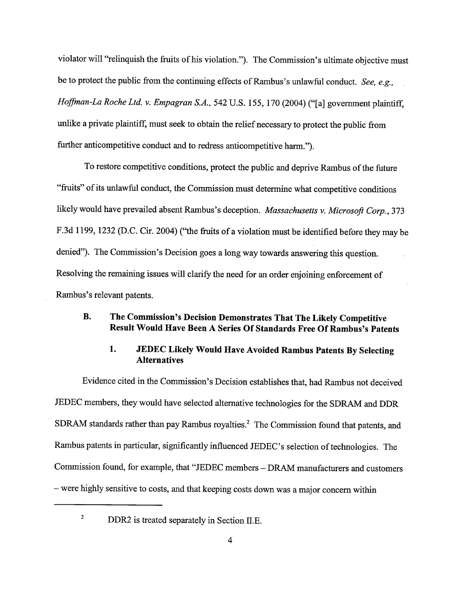violator will "relinquish the fruits of his violation."). The Commission's ultimate objective must be to protect the public from the continuing effects of Rambus's unlawful conduct. See, e.g., Hoffman-La Roche Ltd. v. Empagran S.A., 542 U.S. 155, 170 (2004) ("[a] government plaintiff, unlike a private plaintiff, must seek to obtain the relief necessary to protect the public from further anticompetitive conduct and to redress anticompetitive harm.").

To restore competitive conditions, protect the public and deprive Rambus ofthe future "fruits" of its unlawful conduct, the Commission must determine what competitive conditions likely would have prevailed absent Rambus's deception. Massachusetts v. Microsoft Corp., 373 F.3d 1199, 1232 (D.C. Cir. 2004) ("the frits of a violation must be identified before they may be denied"). The Commission's Decision goes a long way towards answering this question. Resolving the remaining issues will clarify the need for an order enjoining enforcement of Rambus's relevant patents.

## **B.** The Commission's Decision Demonstrates That The Likely Competitive Result Would Have Been A Series Of Standards Free Of Rambus's Patents

#### 1. JEDEC Likely Would Have Avoided Rambus Patents By Selecting **Alternatives**

Evidence cited in the Commission's Decision establishes that, had Rambus not deceived JEDEC members, they would have selected alternative technologies for the SDRAM and DDR SDRAM standards rather than pay Rambus royalties.<sup>2</sup> The Commission found that patents, and Rambus patents in particular, significantly influenced JEDEC's selection of technologies. The Commission found, for example, that "JEDEC members - DRAM manufacturers and customers - were highly sensitive to costs, and that keeping costs down was a major concern within

 $\boldsymbol{2}$ 

DDR2 is treated separately in Section II.E.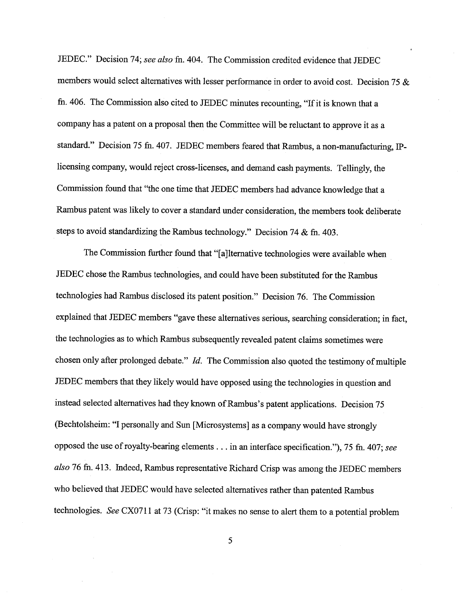JEDEC." Decision 74; see also fn. 404. The Commission credited evidence that JEDEC members would select alternatives with lesser performance in order to avoid cost. Decision 75 & fn. 406. The Commission also cited to JEDEC minutes recounting, "If it is known that a company has a patent on a proposal then the Committee will be reluctant to approve it as a standard." Decision 75 fn. 407. JEDEC members feared that Rambus, a non-manufacturing, IPlicensing company, would reject cross-licenses, and demand cash payments. Tellingly, the Commission found that "the one time that JEDEC members had advance knowledge that a Rambus patent was likely to cover a standard under consideration, the members took deliberate steps to avoid standardizing the Rambus technology." Decision 74 & fn. 403.

The Commission further found that "[a]lternative technologies were available when JEDEC chose the Rambus technologies, and could have been substituted for the Rambus technologies had Rambus disclosed its patent position." Decision 76. The Commission explained that JEDEC members "gave these alternatives serious, searching consideration; in fact the technologies as to which Rambus subsequently revealed patent claims sometimes were chosen only after prolonged debate."  $Id$ . The Commission also quoted the testimony of multiple JEDEC members that they likely would have opposed using the technologies in question and instead selected alternatives had they known of Rambus's patent applications. Decision 75 (Bechtolsheim: "I personally and Sun [Microsystems] as a company would have strongly opposed the use of royalty-bearing elements . . . in an interface specification."), 75 fn. 407; see also 76 fn. 413. Indeed, Rambus representative Richard Crisp was among the JEDEC members who believed that JEDEC would have selected alternatives rather than patented Rambus technologies. See CX0711 at 73 (Crisp: "it makes no sense to alert them to a potential problem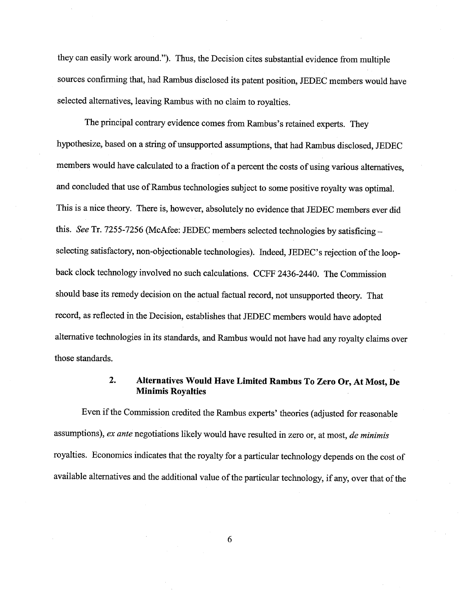they can easily work around."). Thus, the Decision cites substantial evidence from multiple sources confirming that, had Rambus disclosed its patent position, JEDEC members would have selected alternatives, leaving Rambus with no claim to royalties.

The principal contrary evidence comes from Rambus's retained experts. They hypothesize, based on a strng of unsupported assumptions, that had Rambus disclosed, JEDEC members would have calculated to a fraction of a percent the costs of using various alternatives, and concluded that use of Rambus technologies subject to some positive royalty was optimal. This is a nice theory. There is, however, absolutely no evidence that JEDEC members ever did this. See Tr. 7255-7256 (McAfee: JEDEC members selected technologies by satisficing selecting satisfactory, non-objectionable technologies). Indeed, JEDEC's rejection of the loopback clock technology involved no such calculations. CCPF 2436-2440. The Commission should base its remedy decision on the actual factual record, not unsupported theory. That record, as reflected in the Decision, establishes that JEDEC members would have adopted alternative technologies in its standards, and Rambus would not have had any royalty claims over those standards.

## Alternatives Would Have Limited Rambus To Zero Or, At Most,  $2.$ Minimis Royalties

Even if the Commission credited the Rambus experts' theories (adjusted for reasonable assumptions), ex ante negotiations likely would have resulted in zero or, at most, de minimis royalties. Economics indicates that the royalty for a paricular technology depends on the cost of available alternatives and the additional value of the paricular technology, if any, over that of the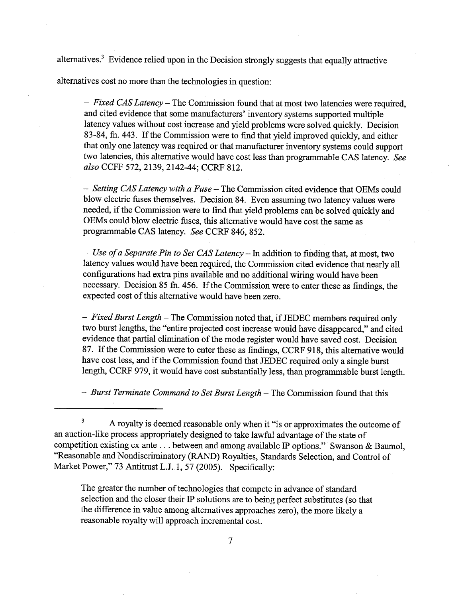alternatives.<sup>3</sup> Evidence relied upon in the Decision strongly suggests that equally attractive

alternatives cost no more than the technologies in question:

- Fixed CAS Latency - The Commission found that at most two latencies were required, and cited evidence that some manufacturers' inventory systems supported multiple latency values without cost increase and yield problems were solved quickly. Decision 83-84, fn. 443. If the Commission were to find that yield improved quickly, and either that only one latency was required or that manufacturer inventory systems could support two latencies, this alternative would have cost less than programmable CAS latency. See also CCFF 572, 2139, 2142-44; CCRF 812.

- Setting CAS Latency with a Fuse - The Commission cited evidence that OEMs could blow electric fuses themselves. Decision 84. Even assuming two latency values were needed, if the Commission were to find that yield problems can be solved quickly and OEMs could blow electric fuses, this alternative would have cost the same as programable CAS latency. See CCRF 846, 852.

- Use of a Separate Pin to Set CAS Latency - In addition to finding that, at most, two latency values would have been required, the Commission cited evidence that nearly all configuations had extra pins available and no additional wiring would have been necessary. Decision 85 fn. 456. If the Commission were to enter these as findings, the expected cost of this alternative would have been zero.

 $-$  Fixed Burst Length  $-$  The Commission noted that, if JEDEC members required only two burst lengths, the "entire projected cost increase would have disappeared," and cited evidence that partial elimination of the mode register would have saved cost. Decision 87. If the Commission were to enter these as findings, CCRF 918, this alternative would have cost less, and if the Commission found that JEDEC required only a single burst length, CCRF 979, it would have cost substantially less, than programable burst length.

 $-$  Burst Terminate Command to Set Burst Length  $-$  The Commission found that this

The greater the number of technologies that compete in advance of standard selection and the closer their IP solutions are to being perfect substitutes (so that the difference in value among alternatives approaches zero), the more likely a reasonable royalty will approach incremental cost.

 $\mathbf{3}$ A royalty is deemed reasonable only when it "is or approximates the outcome of an auction-like process appropriately designed to take lawful advantage ofthe state of competition existing ex ante. . . between and among available IP options." Swanson & Baumol "Reasonable and Nondiscriminatory (RAND) Royalties, Standards Selection, and Control of Market Power," 73 Antitrust L.J. 1, 57 (2005). Specifically: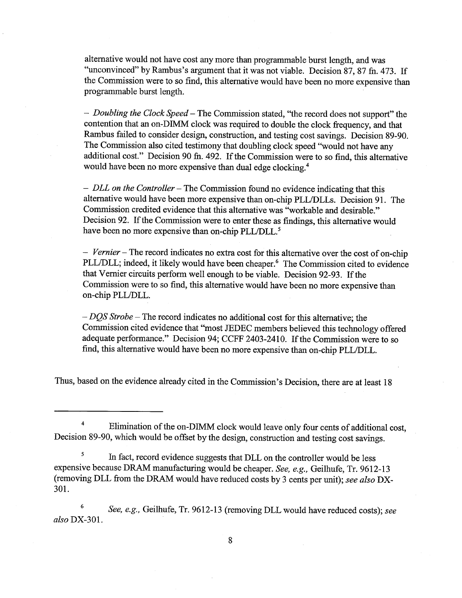alternative would not have cost any more than programable burst length, and was "unconvinced" by Rambus's argument that it was not viable. Decision 87, 87 fn. 473. If the Commission were to so find, this alternative would have been no more expensive than programmable burst length.

- Doubling the Clock Speed – The Commission stated, "the record does not support" the contention that an on-DIMM clock was required to double the clock frequency, and that Rambus failed to consider design, construction, and testing cost savings. Decision 89-90. The Commission also cited testimony that doubling clock speed "would not have any additional cost." Decision 90 fn. 492. If the Commission were to so find, this alternative would have been no more expensive than dual edge clocking.

 $-$  DLL on the Controller – The Commission found no evidence indicating that this alternative would have been more expensive than on-chip PLL/DLLs. Decision 91. The Commission credited evidence that this alternative was "workable and desirable. Decision 92. If the Commission were to enter these as findings, this alternative would have been no more expensive than on-chip PLL/DLL.<sup>5</sup>

- Vernier - The record indicates no extra cost for this alternative over the cost of on-chip PLL/DLL; indeed, it likely would have been cheaper.<sup>6</sup> The Commission cited to evidence that Vernier circuits perform well enough to be viable. Decision 92-93. If the Commission were to so find, this alternative would have been no more expensive than on-chip PLL/DLL.

 $-DQS$  Strobe – The record indicates no additional cost for this alternative; the Commission cited evidence that "most JEDEC members believed this technology offered adequate performance." Decision 94; CCFF 2403-2410. If the Commission were to so find, this alternative would have been no more expensive than on-chip PLL/DLL.

Thus, based on the evidence already cited in the Commission's Decision, there are at least 18

 $\sqrt{5}$ In fact, record evidence suggests that DLL on the controller would be less expensive because DRAM manufacturing would be cheaper. See, e.g., Geilhufe, Tr. 9612-13 (removing DLL from the DRAM would have reduced costs by 3 cents per unit); see also DX-301.

 $\bf 6$ See, e.g., Geilhufe, Tr. 9612-13 (removing DLL would have reduced costs); see also DX-301.

 $\overline{\mathbf{4}}$ Elimination of the on-DIMM clock would leave only four cents of additional cost, Decision 89-90, which would be offset by the design, construction and testing cost savings.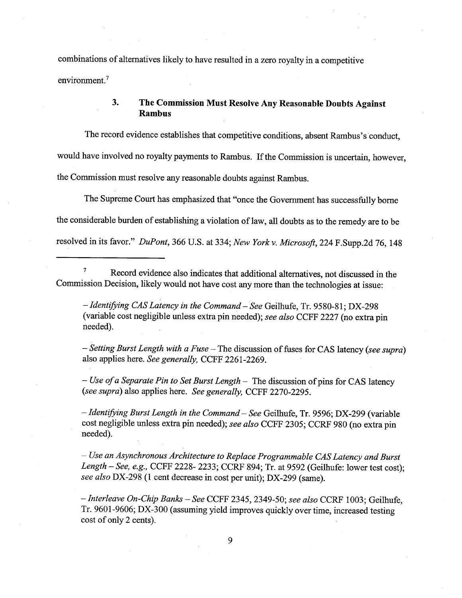combinations of alternatives likely to have resulted in a zero royalty in a competitive environment.<sup>7</sup>

#### The Commission Must Resolve Any Reasonable Doubts Against  $3.$ Rambus

The record evidence establishes that competitive conditions, absent Rambus's conduct. would have involved no royalty payments to Rambus. If the Commission is uncertain, however the Commission must resolve any reasonable doubts against Rambus.

The Supreme Court has emphasized that "once the Government has successfully borne the considerable burden of establishing a violation of law, all doubts as to the remedy are to be resolved in its favor." DuPont, 366 U.S. at 334; New York v. Microsoft, 224 F.Supp.2d 76, 148

 $\pmb{\tau}$ Record evidence also indicates that additional alternatives, not discussed in the Commission Decision, likely would not have cost any more than the technologies at issue:

- Identifying CAS Latency in the Command - See Geilhufe, Tr. 9580-81; DX-298 (variable cost negligible unless extra pin needed); see also CCFF 2227 (no extra pin needed).

- Setting Burst Length with a Fuse - The discussion of fuses for CAS latency (see supra) also applies here. See generally, CCFF 2261-2269.

 $-$  Use of a Separate Pin to Set Burst Length  $-$  The discussion of pins for CAS latency (see supra) also applies here. See generally, CCFF 2270-2295.

 $-$  Identifying Burst Length in the Command  $-$  See Geilhufe, Tr. 9596; DX-299 (variable cost negligible unless extra pin needed); see also CCFF 2305; CCRF 980 (no extra pin needed).

- Use an Asynchronous Architecture to Replace Programmable CAS Latency and Burst Length  $-$  See, e.g., CCFF 2228- 2233; CCRF 894; Tr. at 9592 (Geilhufe: lower test cost); see also DX-298 (1 cent decrease in cost per unit); DX-299 (same).

- Interleave On-Chip Banks - See CCFF 2345, 2349-50; see also CCRF 1003; Geilhufe, Tr. 9601-9606; DX-300 (assuming yield improves quickly over time, increased testing cost of only 2 cents).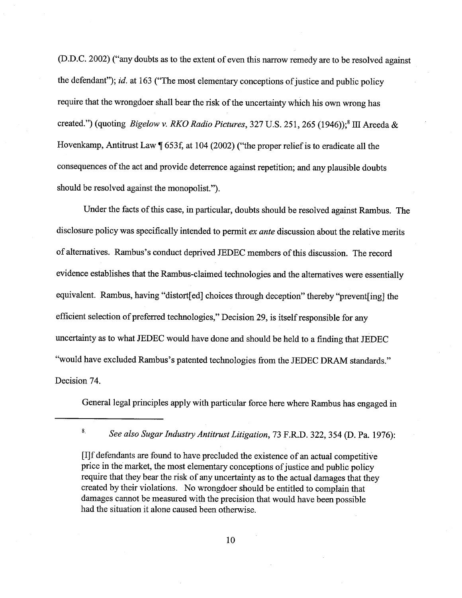(D.D.C. 2002) ("any doubts as to the extent of even this narrow remedy are to be resolved against the defendant"); id. at 163 ("The most elementary conceptions of justice and public policy require that the wrongdoer shall bear the risk of the uncertainty which his own wrong has created.") (quoting Bigelow v. RKO Radio Pictures, 327 U.S. 251, 265 (1946));<sup>8</sup> III Areeda & Hovenkamp, Antitrust Law  $\parallel$  653f, at 104 (2002) ("the proper relief is to eradicate all the consequences of the act and provide deterrence against repetition; and any plausible doubts should be resolved against the monopolist.").

Under the facts of this case, in particular, doubts should be resolved against Rambus. The disclosure policy was specifically intended to permit ex ante discussion about the relative merits of alternatives. Rambus's conduct deprived JEDEC members of this discussion. The record evidence establishes that the Rambus-claimed technologies and the alternatives were essentially equivalent. Rambus, having "distort[ed] choices through deception" thereby "prevent[ing] the efficient selection of preferred technologies " Decision 29, is itself responsible for any uncertainty as to what JEDEC would have done and should be held to a finding that JEDEC "would have excluded Rambus's patented technologies from the JEDEC DRAM standards." Decision 74.

General legal principles apply with paricular force here where Rambus has engaged in

<sup>8.</sup> See also Sugar Industry Antitrust Litigation, 73 F.R.D. 322, 354 (D. Pa. 1976):

<sup>(</sup>IJf defendants are found to have precluded the existence of an actual competitive price in the market, the most elementary conceptions of justice and public policy require that they bear the risk of any uncertainty as to the actual damages that they created by their violations. No wrongdoer should be entitled to complain that damages canot be measured with the precision that would have been possible had the situation it alone caused been otherwise.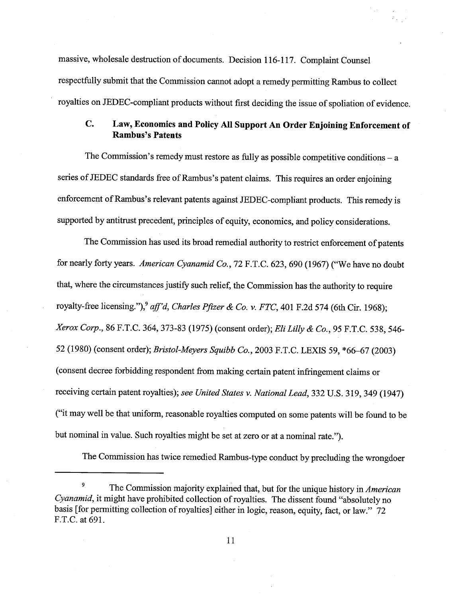massive, wholesale destruction of documents. Decision 116-117. Complaint Counsel respectfully submit that the Commission canot adopt a remedy permitting Rambus to collect royalties on JEDEC-compliant products without first deciding the issue of spoliation of evidence.

## $\mathbf{C}$ . Law, Economics and Policy All Support An Order Enjoining Enforcement of **Rambus's Patents**

The Commission's remedy must restore as fully as possible competitive conditions  $- a$ series of JEDEC standards free of Rambus's patent claims. This requires an order enjoining enforcement of Rambus's relevant patents against JEDEC-compliant products. This remedy is supported by antitrust precedent, principles of equity, economics, and policy considerations.

The Commission has used its broad remedial authority to restrict enforcement of patents for nearly forty years. American Cyanamid Co., 72 F.T.C. 623, 690 (1967) ("We have no doubt that, where the circumstances justify such relief, the Commission has the authority to require royalty-free licensing."),<sup>9</sup> aff'd, Charles Pfizer & Co. v. FTC, 401 F.2d 574 (6th Cir. 1968); Xerox Corp., 86 F.T.C. 364, 373-83 (1975) (consent order); Eli Lilly & Co., 95 F.T.C. 538, 546-52 (1980) (consent order); Bristol-Meyers Squibb Co., 2003 F.T.C. LEXIS 59, \*66-67 (2003) (consent decree forbidding respondent from makng certain patent infrngement claims or receiving certain patent royalties); see United States v. National Lead, 332 U.S. 319, 349 (1947) it may well be that uniform, reasonable royalties computed on some patents wil be found to be but nominal in value. Such royalties might be set at zero or at a nominal rate.").

The Commission has twice remedied Rambus-type conduct by precluding the wrongdoer

<sup>9</sup> The Commission majority explained that, but for the unique history in American Cyanamid, it might have prohibited collection of royalties. The dissent found "absolutely no basis [for permitting collection of royalties] either in logic, reason, equity, fact, or law." 72 F.T.C. at 691.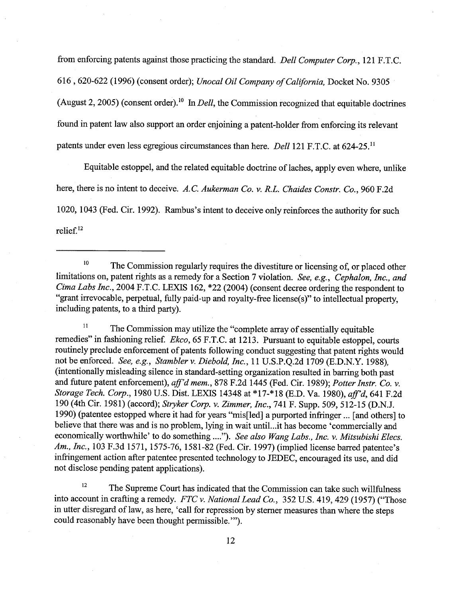from enforcing patents against those practicing the standard. Dell Computer Corp., 121 F.T.C. 616, 620-622 (1996) (consent order); Unocal Oil Company of California, Docket No. 9305 (August 2, 2005) (consent order).<sup>10</sup> In *Dell*, the Commission recognized that equitable doctrines found in patent law also support an order enjoining a patent-holder from enforcing its relevant patents under even less egregious circumstances than here. Dell 121 F.T.C. at 624-25.<sup>11</sup>

Equitable estoppel, and the related equitable doctrine of laches, apply even where, unlike here, there is no intent to deceive. A.C. Aukerman Co. v. R.L. Chaides Constr. Co., 960 F.2d 1020, 1043 (Fed. Cir. 1992). Rambus's intent to deceive only reinforces the authority for such relief. 12

 $\mu$ <sup>11</sup> The Commission may utilize the "complete array of essentially equitable remedies" in fashioning relief. Ekco, 65 F.T.C. at 1213. Pursuant to equitable estoppel, courts routinely preclude enforcement of patents following conduct suggesting that patent rights would not be enforced. See, e.g., Stambler v. Diebold, Inc., 11 U.S.P.Q.2d 1709 (E.D.N.Y. 1988), (intentionally misleading silence in standard-setting organization resulted in barring both past and future patent enforcement), aff'd mem., 878 F.2d 1445 (Fed. Cir. 1989); Potter Instr. Co. v. Storage Tech. Corp., 1980 U.S. Dist. LEXIS 14348 at \*17-\*18 (E.D. Va. 1980), aff'd, 641 F.2d 190 (4th Cir. 1981) (accord); Stryker Corp. v. Zimmer, Inc., 741 F. Supp. 509, 512-15 (D.N.J. 1990) (patentee estopped where it had for years "mis[led] a purported infringer ... [and others] to believe that there was and is no problem, lying in wait until...it has become 'commercially and economically worthwhile' to do something ...."). See also Wang Labs., Inc. v. Mitsubishi Elecs. Am., Inc., 103 F.3d 1571, 1575-76, 1581-82 (Fed. Cir. 1997) (implied license barred patentee's infrngement action after patentee presented technology to JEDEC, encouraged its use, and did not disclose pending patent applications).

<sup>12</sup> The Supreme Court has indicated that the Commission can take such willfulness into account in crafting a remedy. FTC v. National Lead Co., 352 U.S. 419, 429 (1957) ("Those in utter disregard of law, as here, 'call for repression by sterner measures than where the steps could reasonably have been thought permissible. "'

<sup>&</sup>lt;sup>10</sup> The Commission regularly requires the divestiture or licensing of, or placed other limitations on, patent rights as a remedy for a Section 7 violation. See, e.g., Cephalon, Inc., and Cima Labs Inc., 2004 F.T.C. LEXIS 162, \*22 (2004) (consent decree ordering the respondent to "grant irrevocable, perpetual, fully paid-up and royalty-free license(s)" to intellectual property, including patents, to a third party).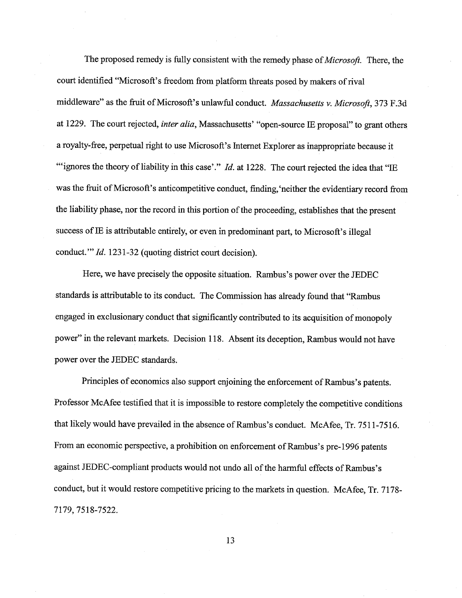The proposed remedy is fully consistent with the remedy phase of *Microsoft*. There, the court identified "Microsoft's freedom from platform threats posed by makers of rival middleware" as the fruit of Microsoft's unlawful conduct. Massachusetts v. Microsoft, 373 F.3d at 1229. The court rejected, *inter alia*, Massachusetts' "open-source IE proposal" to grant others a royalty-free, perpetual right to use Microsoft's Internet Explorer as inappropriate because it "ignores the theory of liability in this case'."  $Id$ . at 1228. The court rejected the idea that "IE was the fruit of Microsoft's anticompetitive conduct, finding, 'neither the evidentiary record from the liability phase, nor the record in this portion of the proceeding, establishes that the present success of IE is attributable entirely, or even in predominant part, to Microsoft's illegal conduct." *Id.* 1231-32 (quoting district court decision).

Here, we have precisely the opposite situation. Rambus's power over the JEDEC standards is attributable to its conduct. The Commission has already found that "Rambus engaged in exclusionary conduct that significantly contrbuted to its acquisition of monopoly power" in the relevant markets. Decision 118. Absent its deception, Rambus would not have power over the JEDEC standards.

Principles of economics also support enjoining the enforcement of Rambus's patents. Professor McAfee testified that it is impossible to restore completely the competitive conditions that likely would have prevailed in the absence of Rambus's conduct. McAfee, Tr. 7511-7516. From an economic perspective, a prohibition on enforcement of Rambus's pre-1996 patents against JEDEC-compliant products would not undo all of the harmful effects of Rambus's conduct, but it would restore competitive pricing to the markets in question. McAfee, Tr. 7178- 7179 7518-7522.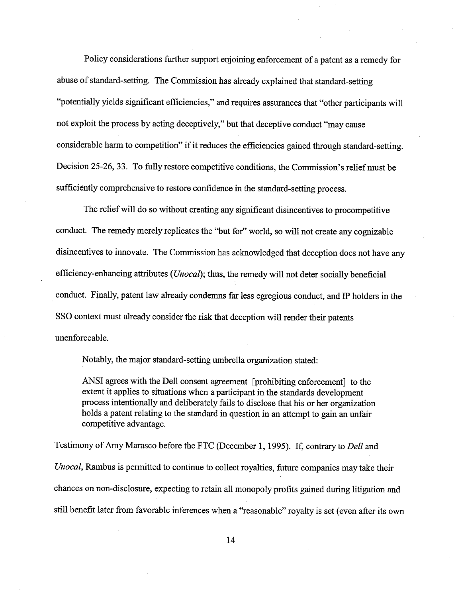Policy considerations further support enjoining enforcement of a patent as a remedy for abuse of standard-setting. The Commission has already explained that standard-setting "potentially yields significant efficiencies," and requires assurances that "other participants will not exploit the process by acting deceptively," but that deceptive conduct "may cause considerable harm to competition" if it reduces the efficiencies gained through standard-setting. Decision 25-26, 33. To fully restore competitive conditions, the Commission's relief must be sufficiently comprehensive to restore confidence in the standard-setting process.

The relief will do so without creating any significant disincentives to procompetitive conduct. The remedy merely replicates the "but for" world, so will not create any cognizable disincentives to innovate. The Commission has acknowledged that deception does not have any efficiency-enhancing attributes ( $Unocal$ ); thus, the remedy will not deter socially beneficial conduct. Finally, patent law already condemns far less egregious conduct, and IP holders in the SSO context must already consider the risk that deception will render their patents unenforceable.

Notably, the major standard-setting umbrella organization stated:

ANSI agrees with the Dell consent agreement [prohibiting enforcement] to the extent it applies to situations when a participant in the standards development process intentionally and deliberately fails to disclose that his or her organization holds a patent relating to the standard in question in an attempt to gain an unfair competitive advantage.

Testimony of Amy Marasco before the FTC (December 1, 1995). If, contrary to Dell and Unocal, Rambus is permitted to continue to collect royalties, future companies may take their chances on non-disclosure, expecting to retain all monopoly profits gained during litigation and still benefit later from favorable inferences when a "reasonable" royalty is set (even after its own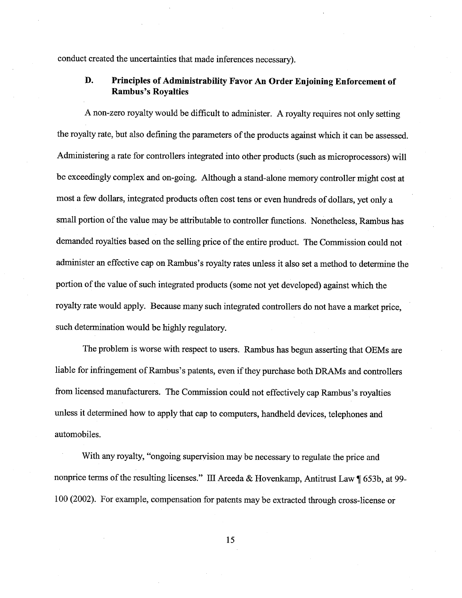conduct created the uncertainties that made inferences necessar).

## D. Principles of Administrabilty Favor An Order Enjoining Enforcement of Rambus's Royalties

A non-zero royalty would be difficult to administer. A royalty requires not only setting the royalty rate, but also defining the parameters of the products against which it can be assessed. Administering a rate for controllers integrated into other products (such as microprocessors) wil be exceedingly complex and on-going. Although a stand-alone memory controller might cost at most a few dollars, integrated products often cost tens or even hundreds of dollars, yet only a small portion of the value may be attributable to controller functions. Nonetheless, Rambus has demanded royalties based on the sellng price of the entire product. The Commission could not administer an effective cap on Rambus's royalty rates unless it also set a method to determine the portion of the value of such integrated products (some not yet developed) against which the royalty rate would apply. Because many such integrated controllers do not have a market price such determination would be highly regulatory.

The problem is worse with respect to users. Rambus has begun asserting that OEMs are liable for infringement of Rambus's patents, even if they purchase both DRAMs and controllers from licensed manufacturers. The Commission could not effectively cap Rambus's royalties unless it determined how to apply that cap to computers, handheld devices, telephones and automobiles.

With any royalty, "ongoing supervision may be necessary to regulate the price and nonprice terms of the resulting licenses." III Areeda & Hovenkamp, Antitrust Law  $\P$  653b, at 99-100 (2002). For example, compensation for patents may be extracted through cross-license or